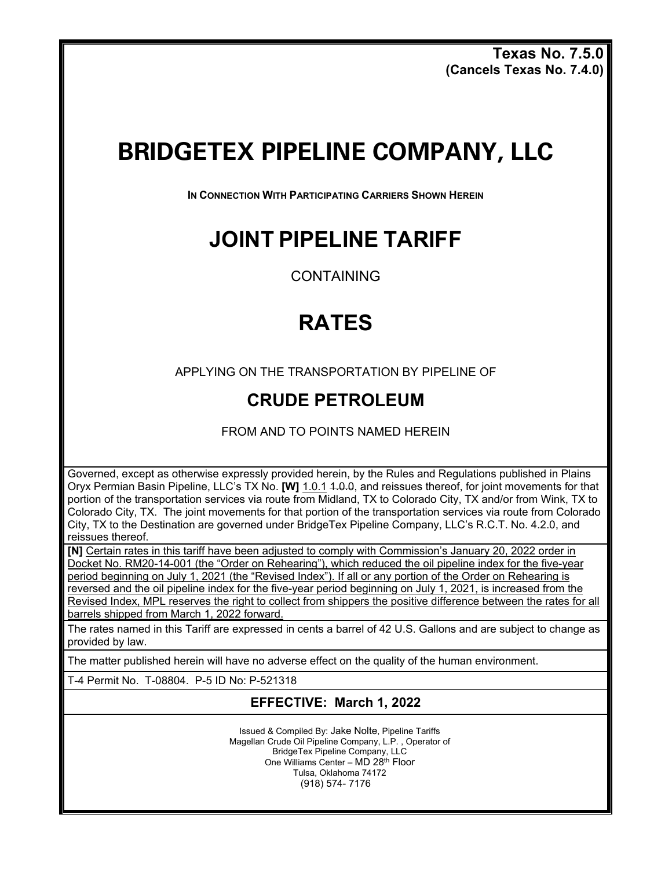**Texas No. 7.5.0 (Cancels Texas No. 7.4.0)** 

# **BRIDGETEX PIPELINE COMPANY, LLC**

**IN CONNECTION WITH PARTICIPATING CARRIERS SHOWN HEREIN**

### **JOINT PIPELINE TARIFF**

CONTAINING

## **RATES**

APPLYING ON THE TRANSPORTATION BY PIPELINE OF

### **CRUDE PETROLEUM**

FROM AND TO POINTS NAMED HEREIN

Governed, except as otherwise expressly provided herein, by the Rules and Regulations published in Plains Oryx Permian Basin Pipeline, LLC's TX No. **[W]** 1.0.1 1.0.0, and reissues thereof, for joint movements for that portion of the transportation services via route from Midland, TX to Colorado City, TX and/or from Wink, TX to Colorado City, TX. The joint movements for that portion of the transportation services via route from Colorado City, TX to the Destination are governed under BridgeTex Pipeline Company, LLC's R.C.T. No. 4.2.0, and reissues thereof.

**[N]** Certain rates in this tariff have been adjusted to comply with Commission's January 20, 2022 order in Docket No. RM20-14-001 (the "Order on Rehearing"), which reduced the oil pipeline index for the five-year period beginning on July 1, 2021 (the "Revised Index"). If all or any portion of the Order on Rehearing is reversed and the oil pipeline index for the five-year period beginning on July 1, 2021, is increased from the Revised Index, MPL reserves the right to collect from shippers the positive difference between the rates for all barrels shipped from March 1, 2022 forward.

The rates named in this Tariff are expressed in cents a barrel of 42 U.S. Gallons and are subject to change as provided by law.

The matter published herein will have no adverse effect on the quality of the human environment.

T-4 Permit No. T-08804. P-5 ID No: P-521318

### **EFFECTIVE: March 1, 2022**

Issued & Compiled By: Jake Nolte, Pipeline Tariffs Magellan Crude Oil Pipeline Company, L.P. , Operator of BridgeTex Pipeline Company, LLC One Williams Center - MD 28<sup>th</sup> Floor Tulsa, Oklahoma 74172 (918) 574- 7176